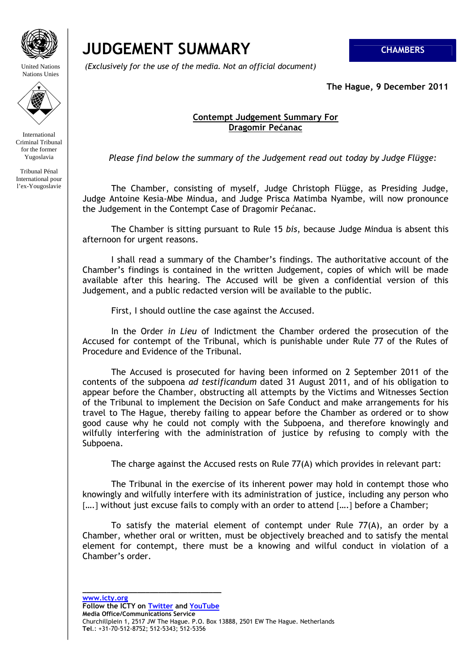

United Nations Nations Unies



International Criminal Tribunal for the former Yugoslavia

Tribunal Pénal International pour l'ex-Yougoslavie

## **JUDGEMENT SUMMARY CHAMBERS**

 *(Exclusively for the use of the media. Not an official document)*

**The Hague, 9 December 2011** 

## **Contempt Judgement Summary For Dragomir Pećanac**

*Please find below the summary of the Judgement read out today by Judge Flügge:* 

The Chamber, consisting of myself, Judge Christoph Flügge, as Presiding Judge, Judge Antoine Kesia-Mbe Mindua, and Judge Prisca Matimba Nyambe, will now pronounce the Judgement in the Contempt Case of Dragomir Pećanac.

The Chamber is sitting pursuant to Rule 15 *bis*, because Judge Mindua is absent this afternoon for urgent reasons.

I shall read a summary of the Chamber's findings. The authoritative account of the Chamber's findings is contained in the written Judgement, copies of which will be made available after this hearing. The Accused will be given a confidential version of this Judgement, and a public redacted version will be available to the public.

First, I should outline the case against the Accused.

In the Order *in Lieu* of Indictment the Chamber ordered the prosecution of the Accused for contempt of the Tribunal, which is punishable under Rule 77 of the Rules of Procedure and Evidence of the Tribunal.

The Accused is prosecuted for having been informed on 2 September 2011 of the contents of the subpoena *ad testificandum* dated 31 August 2011, and of his obligation to appear before the Chamber, obstructing all attempts by the Victims and Witnesses Section of the Tribunal to implement the Decision on Safe Conduct and make arrangements for his travel to The Hague, thereby failing to appear before the Chamber as ordered or to show good cause why he could not comply with the Subpoena, and therefore knowingly and wilfully interfering with the administration of justice by refusing to comply with the Subpoena.

The charge against the Accused rests on Rule 77(A) which provides in relevant part:

The Tribunal in the exercise of its inherent power may hold in contempt those who knowingly and wilfully interfere with its administration of justice, including any person who [....] without just excuse fails to comply with an order to attend [....] before a Chamber;

To satisfy the material element of contempt under Rule 77(A), an order by a Chamber, whether oral or written, must be objectively breached and to satisfy the mental element for contempt, there must be a knowing and wilful conduct in violation of a Chamber's order.

**www.icty.org Follow the ICTY on Twitter and YouTube Media Office/Communications Service**  Churchillplein 1, 2517 JW The Hague. P.O. Box 13888, 2501 EW The Hague. Netherlands **Tel**.: +31-70-512-8752; 512-5343; 512-5356

**\_\_\_\_\_\_\_\_\_\_\_\_\_\_\_\_\_\_\_\_\_\_\_\_\_\_\_\_\_\_\_\_\_**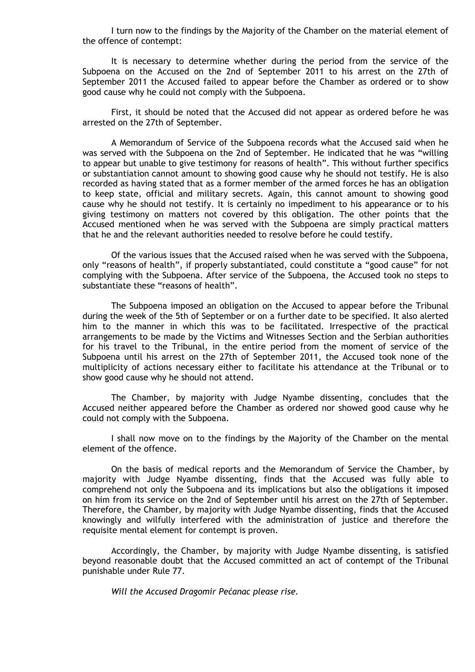I turn now to the findings by the Majority of the Chamber on the material element of the offence of contempt:

It is necessary to determine whether during the period from the service of the Subpoena on the Accused on the 2nd of September 2011 to his arrest on the 27th of September 2011 the Accused failed to appear before the Chamber as ordered or to show good cause why he could not comply with the Subpoena.

First, it should be noted that the Accused did not appear as ordered before he was arrested on the 27th of September.

A Memorandum of Service of the Subpoena records what the Accused said when he was served with the Subpoena on the 2nd of September. He indicated that he was "willing to appear but unable to give testimony for reasons of health". This without further specifics or substantiation cannot amount to showing good cause why he should not testify. He is also recorded as having stated that as a former member of the armed forces he has an obligation to keep state, official and military secrets. Again, this cannot amount to showing good cause why he should not testify. It is certainly no impediment to his appearance or to his giving testimony on matters not covered by this obligation. The other points that the Accused mentioned when he was served with the Subpoena are simply practical matters that he and the relevant authorities needed to resolve before he could testify.

Of the various issues that the Accused raised when he was served with the Subpoena, only "reasons of health", if properly substantiated, could constitute a "good cause" for not complying with the Subpoena. After service of the Subpoena, the Accused took no steps to substantiate these "reasons of health".

The Subpoena imposed an obligation on the Accused to appear before the Tribunal during the week of the 5th of September or on a further date to be specified. It also alerted him to the manner in which this was to be facilitated. Irrespective of the practical arrangements to be made by the Victims and Witnesses Section and the Serbian authorities for his travel to the Tribunal, in the entire period from the moment of service of the Subpoena until his arrest on the 27th of September 2011, the Accused took none of the multiplicity of actions necessary either to facilitate his attendance at the Tribunal or to show good cause why he should not attend.

The Chamber, by majority with Judge Nyambe dissenting, concludes that the Accused neither appeared before the Chamber as ordered nor showed good cause why he could not comply with the Subpoena.

I shall now move on to the findings by the Majority of the Chamber on the mental element of the offence.

On the basis of medical reports and the Memorandum of Service the Chamber, by majority with Judge Nyambe dissenting, finds that the Accused was fully able to comprehend not only the Subpoena and its implications but also the obligations it imposed on him from its service on the 2nd of September until his arrest on the 27th of September. Therefore, the Chamber, by majority with Judge Nyambe dissenting, finds that the Accused knowingly and wilfully interfered with the administration of justice and therefore the requisite mental element for contempt is proven.

Accordingly, the Chamber, by majority with Judge Nyambe dissenting, is satisfied beyond reasonable doubt that the Accused committed an act of contempt of the Tribunal punishable under Rule 77.

*Will the Accused Dragomir Pećanac please rise.*